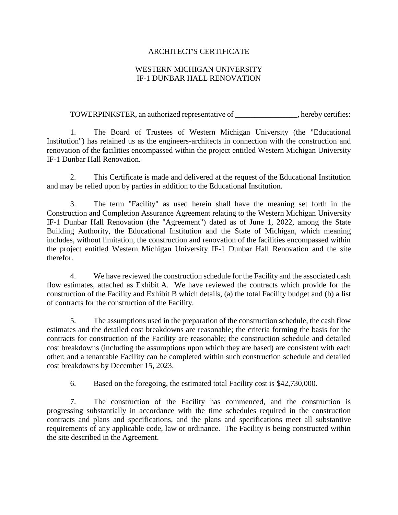### ARCHITECT'S CERTIFICATE

### WESTERN MICHIGAN UNIVERSITY IF-1 DUNBAR HALL RENOVATION

TOWERPINKSTER, an authorized representative of \_\_\_\_\_\_\_\_\_\_\_\_\_\_\_\_, hereby certifies:

1. The Board of Trustees of Western Michigan University (the "Educational Institution") has retained us as the engineers-architects in connection with the construction and renovation of the facilities encompassed within the project entitled Western Michigan University IF-1 Dunbar Hall Renovation.

2. This Certificate is made and delivered at the request of the Educational Institution and may be relied upon by parties in addition to the Educational Institution.

3. The term "Facility" as used herein shall have the meaning set forth in the Construction and Completion Assurance Agreement relating to the Western Michigan University IF-1 Dunbar Hall Renovation (the "Agreement") dated as of June 1, 2022, among the State Building Authority, the Educational Institution and the State of Michigan, which meaning includes, without limitation, the construction and renovation of the facilities encompassed within the project entitled Western Michigan University IF-1 Dunbar Hall Renovation and the site therefor.

4. We have reviewed the construction schedule for the Facility and the associated cash flow estimates, attached as Exhibit A. We have reviewed the contracts which provide for the construction of the Facility and Exhibit B which details, (a) the total Facility budget and (b) a list of contracts for the construction of the Facility.

5. The assumptions used in the preparation of the construction schedule, the cash flow estimates and the detailed cost breakdowns are reasonable; the criteria forming the basis for the contracts for construction of the Facility are reasonable; the construction schedule and detailed cost breakdowns (including the assumptions upon which they are based) are consistent with each other; and a tenantable Facility can be completed within such construction schedule and detailed cost breakdowns by December 15, 2023.

6. Based on the foregoing, the estimated total Facility cost is \$42,730,000.

7. The construction of the Facility has commenced, and the construction is progressing substantially in accordance with the time schedules required in the construction contracts and plans and specifications, and the plans and specifications meet all substantive requirements of any applicable code, law or ordinance. The Facility is being constructed within the site described in the Agreement.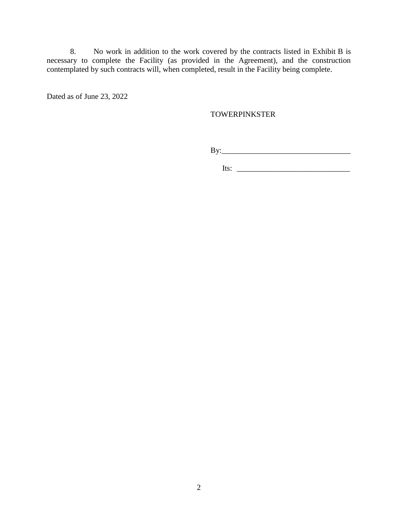8. No work in addition to the work covered by the contracts listed in Exhibit B is necessary to complete the Facility (as provided in the Agreement), and the construction contemplated by such contracts will, when completed, result in the Facility being complete.

Dated as of June 23, 2022

### TOWERPINKSTER

By:\_\_\_\_\_\_\_\_\_\_\_\_\_\_\_\_\_\_\_\_\_\_\_\_\_\_\_\_\_\_\_\_\_

 $Its: \_$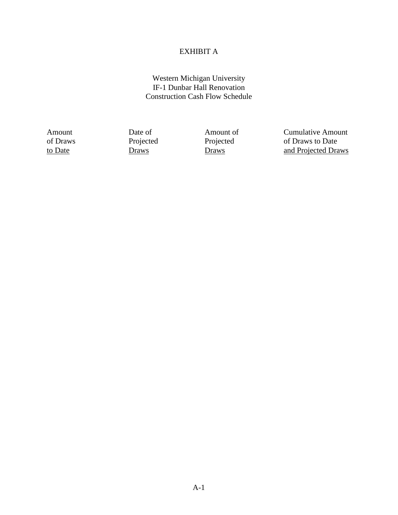# EXHIBIT A

### Western Michigan University IF-1 Dunbar Hall Renovation Construction Cash Flow Schedule

Amount Date of Amount of Cumulative Amount of Draws<br>of Draws Projected Projected of Draws to Date of Draws Projected Projected Projected of Draws to Date<br>
to Date 1921 Draws Draws Draws And Projected Dra to Date **Draws** Draws Draws **Draws** and Projected Draws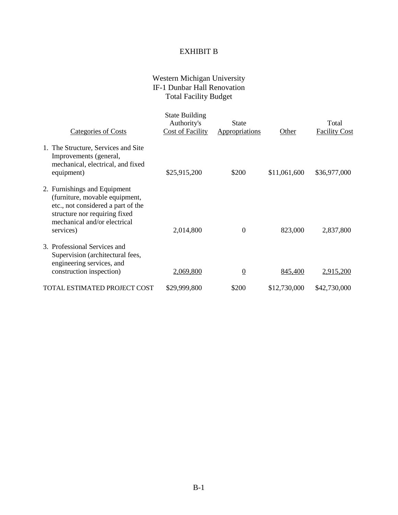## EXHIBIT B

### Western Michigan University IF-1 Dunbar Hall Renovation Total Facility Budget

| Categories of Costs                                                                                                                                                                | <b>State Building</b><br>Authority's<br><b>Cost of Facility</b> | <b>State</b><br>Appropriations | Other        | Total<br><b>Facility Cost</b> |
|------------------------------------------------------------------------------------------------------------------------------------------------------------------------------------|-----------------------------------------------------------------|--------------------------------|--------------|-------------------------------|
| 1. The Structure, Services and Site<br>Improvements (general,<br>mechanical, electrical, and fixed<br>equipment)                                                                   | \$25,915,200                                                    | \$200                          | \$11,061,600 | \$36,977,000                  |
| 2. Furnishings and Equipment<br>(furniture, movable equipment,<br>etc., not considered a part of the<br>structure nor requiring fixed<br>mechanical and/or electrical<br>services) | 2,014,800                                                       | $\overline{0}$                 | 823,000      | 2,837,800                     |
| 3. Professional Services and<br>Supervision (architectural fees,<br>engineering services, and<br>construction inspection)                                                          | 2,069,800                                                       | $\overline{0}$                 | 845,400      | 2,915,200                     |
| TOTAL ESTIMATED PROJECT COST                                                                                                                                                       | \$29,999,800                                                    | \$200                          | \$12,730,000 | \$42,730,000                  |